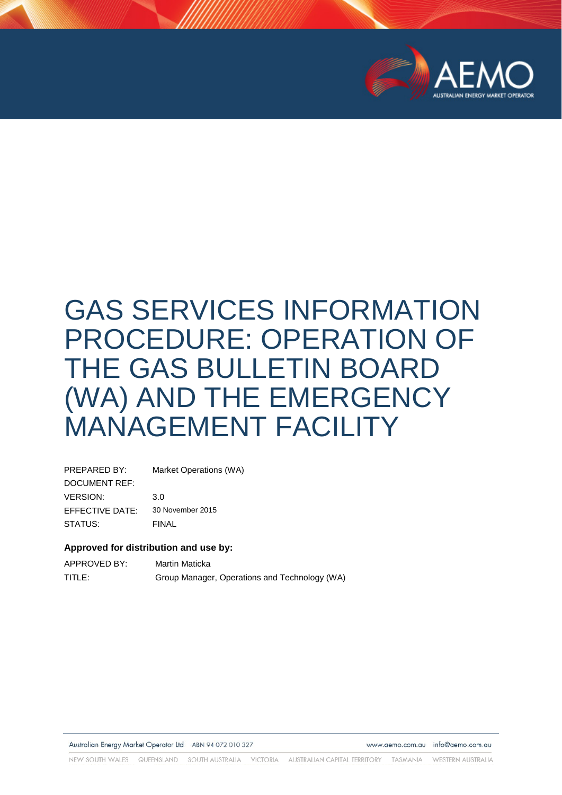

# GAS SERVICES INFORMATION PROCEDURE: OPERATION OF THE GAS BULLETIN BOARD (WA) AND THE EMERGENCY MANAGEMENT FACILITY

| PREPARED BY:         | Market Operations (WA) |
|----------------------|------------------------|
| <b>DOCUMENT REF:</b> |                        |
| <b>VERSION:</b>      | 3.0                    |
| EFFECTIVE DATE:      | 30 November 2015       |
| STATUS:              | FINAL                  |

#### **Approved for distribution and use by:**

| APPROVED BY: | Martin Maticka                                |
|--------------|-----------------------------------------------|
| TITLE:       | Group Manager, Operations and Technology (WA) |

Australian Energy Market Operator Ltd ABN 94 072 010 327

www.aemo.com.au info@aemo.com.au

NEW SOUTH WALES QUEENSLAND SOUTH AUSTRALIA VICTORIA AUSTRALIAN CAPITAL TERRITORY TASMANIA WESTERN AUSTRALIA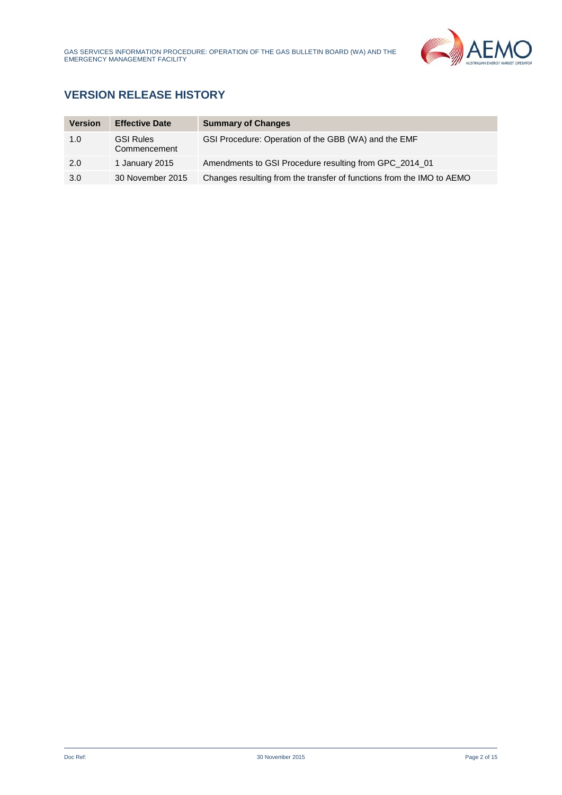

# **VERSION RELEASE HISTORY**

| <b>Version</b> | <b>Effective Date</b>            | <b>Summary of Changes</b>                                             |
|----------------|----------------------------------|-----------------------------------------------------------------------|
| 1.0            | <b>GSI Rules</b><br>Commencement | GSI Procedure: Operation of the GBB (WA) and the EMF                  |
| 2.0            | 1 January 2015                   | Amendments to GSI Procedure resulting from GPC 2014 01                |
| 3.0            | 30 November 2015                 | Changes resulting from the transfer of functions from the IMO to AEMO |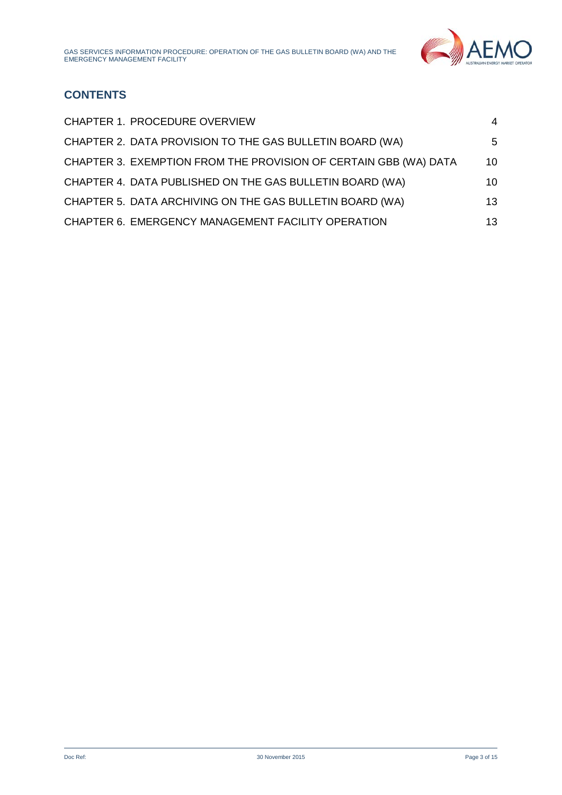

# **CONTENTS**

| CHAPTER 1. PROCEDURE OVERVIEW                                    | 4  |
|------------------------------------------------------------------|----|
| CHAPTER 2. DATA PROVISION TO THE GAS BULLETIN BOARD (WA)         | 5  |
| CHAPTER 3. EXEMPTION FROM THE PROVISION OF CERTAIN GBB (WA) DATA | 10 |
| CHAPTER 4. DATA PUBLISHED ON THE GAS BULLETIN BOARD (WA)         | 10 |
| CHAPTER 5. DATA ARCHIVING ON THE GAS BULLETIN BOARD (WA)         | 13 |
| CHAPTER 6. EMERGENCY MANAGEMENT FACILITY OPERATION               | 13 |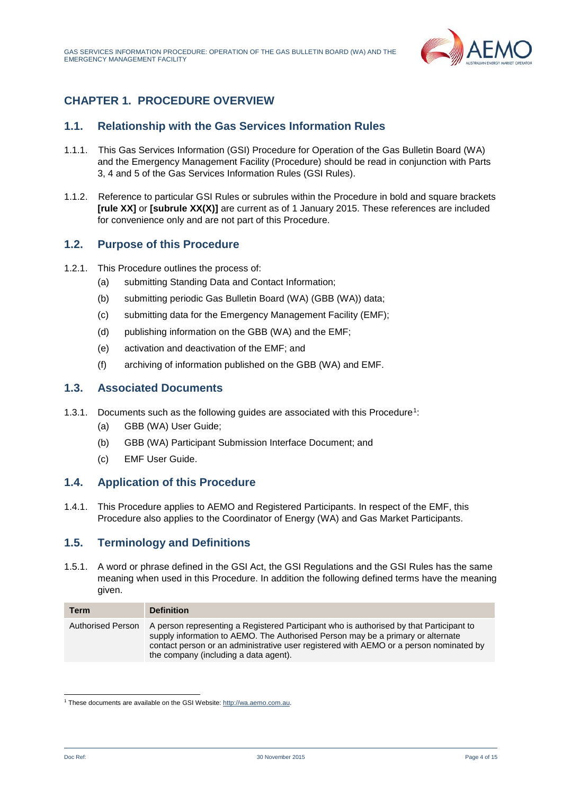

## <span id="page-3-0"></span>**CHAPTER 1. PROCEDURE OVERVIEW**

## **1.1. Relationship with the Gas Services Information Rules**

- 1.1.1. This Gas Services Information (GSI) Procedure for Operation of the Gas Bulletin Board (WA) and the Emergency Management Facility (Procedure) should be read in conjunction with Parts 3, 4 and 5 of the Gas Services Information Rules (GSI Rules).
- 1.1.2. Reference to particular GSI Rules or subrules within the Procedure in bold and square brackets **[rule XX]** or **[subrule XX(X)]** are current as of 1 January 2015. These references are included for convenience only and are not part of this Procedure.

## **1.2. Purpose of this Procedure**

- 1.2.1. This Procedure outlines the process of:
	- (a) submitting Standing Data and Contact Information;
	- (b) submitting periodic Gas Bulletin Board (WA) (GBB (WA)) data;
	- (c) submitting data for the Emergency Management Facility (EMF);
	- (d) publishing information on the GBB (WA) and the EMF;
	- (e) activation and deactivation of the EMF; and
	- (f) archiving of information published on the GBB (WA) and EMF.

#### **1.3. Associated Documents**

- 1.3.1. Documents such as the following guides are associated with this Procedure<sup>1</sup>:
	- (a) GBB (WA) User Guide;
	- (b) GBB (WA) Participant Submission Interface Document; and
	- (c) EMF User Guide.

#### **1.4. Application of this Procedure**

1.4.1. This Procedure applies to AEMO and Registered Participants. In respect of the EMF, this Procedure also applies to the Coordinator of Energy (WA) and Gas Market Participants.

## **1.5. Terminology and Definitions**

1.5.1. A word or phrase defined in the GSI Act, the GSI Regulations and the GSI Rules has the same meaning when used in this Procedure. In addition the following defined terms have the meaning given.

| Term                     | <b>Definition</b>                                                                                                                                                                                                                                                                                             |
|--------------------------|---------------------------------------------------------------------------------------------------------------------------------------------------------------------------------------------------------------------------------------------------------------------------------------------------------------|
| <b>Authorised Person</b> | A person representing a Registered Participant who is authorised by that Participant to<br>supply information to AEMO. The Authorised Person may be a primary or alternate<br>contact person or an administrative user registered with AEMO or a person nominated by<br>the company (including a data agent). |

<span id="page-3-1"></span> <sup>1</sup> These documents are available on the GSI Website[: http://wa.aemo.com.au.](http://wa.aemo.com.au/)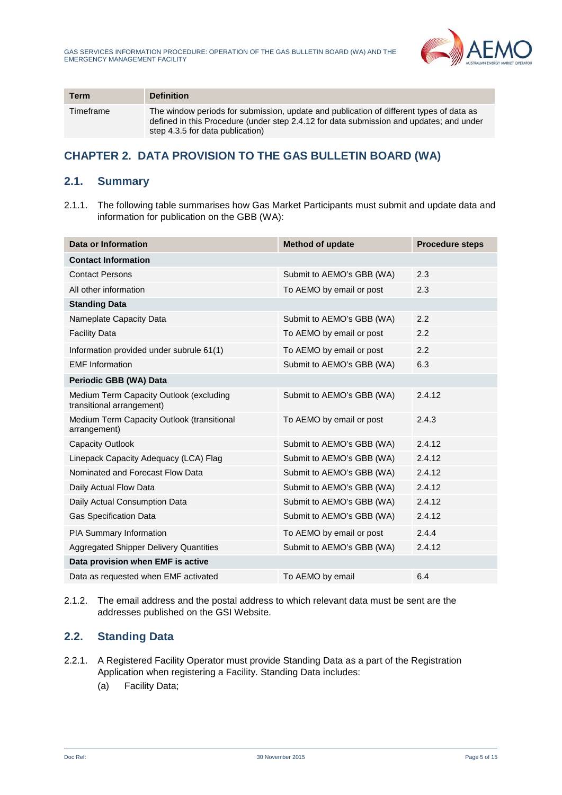

| <b>Term</b> | <b>Definition</b>                                                                                                                                                                                                      |
|-------------|------------------------------------------------------------------------------------------------------------------------------------------------------------------------------------------------------------------------|
| Timeframe   | The window periods for submission, update and publication of different types of data as<br>defined in this Procedure (under step 2.4.12 for data submission and updates; and under<br>step 4.3.5 for data publication) |

## <span id="page-4-0"></span>**CHAPTER 2. DATA PROVISION TO THE GAS BULLETIN BOARD (WA)**

## **2.1. Summary**

2.1.1. The following table summarises how Gas Market Participants must submit and update data and information for publication on the GBB (WA):

| <b>Data or Information</b>                                           | <b>Method of update</b>   | <b>Procedure steps</b> |
|----------------------------------------------------------------------|---------------------------|------------------------|
| <b>Contact Information</b>                                           |                           |                        |
| <b>Contact Persons</b>                                               | Submit to AEMO's GBB (WA) | 2.3                    |
| All other information                                                | To AEMO by email or post  | 2.3                    |
| <b>Standing Data</b>                                                 |                           |                        |
| Nameplate Capacity Data                                              | Submit to AEMO's GBB (WA) | 2.2                    |
| <b>Facility Data</b>                                                 | To AEMO by email or post  | 2.2                    |
| Information provided under subrule 61(1)                             | To AEMO by email or post  | 2.2                    |
| <b>EMF</b> Information                                               | Submit to AEMO's GBB (WA) | 6.3                    |
| Periodic GBB (WA) Data                                               |                           |                        |
| Medium Term Capacity Outlook (excluding<br>transitional arrangement) | Submit to AEMO's GBB (WA) | 2.4.12                 |
| Medium Term Capacity Outlook (transitional<br>arrangement)           | To AEMO by email or post  | 2.4.3                  |
| <b>Capacity Outlook</b>                                              | Submit to AEMO's GBB (WA) | 2.4.12                 |
| Linepack Capacity Adequacy (LCA) Flag                                | Submit to AEMO's GBB (WA) | 2.4.12                 |
| Nominated and Forecast Flow Data                                     | Submit to AEMO's GBB (WA) | 2.4.12                 |
| Daily Actual Flow Data                                               | Submit to AEMO's GBB (WA) | 2.4.12                 |
| Daily Actual Consumption Data                                        | Submit to AEMO's GBB (WA) | 2.4.12                 |
| <b>Gas Specification Data</b>                                        | Submit to AEMO's GBB (WA) | 2.4.12                 |
| PIA Summary Information                                              | To AEMO by email or post  | 2.4.4                  |
| <b>Aggregated Shipper Delivery Quantities</b>                        | Submit to AEMO's GBB (WA) | 2.4.12                 |
| Data provision when EMF is active                                    |                           |                        |
| Data as requested when EMF activated                                 | To AEMO by email          | 6.4                    |

2.1.2. The email address and the postal address to which relevant data must be sent are the addresses published on the GSI Website.

## **2.2. Standing Data**

- 2.2.1. A Registered Facility Operator must provide Standing Data as a part of the Registration Application when registering a Facility. Standing Data includes:
	- (a) Facility Data;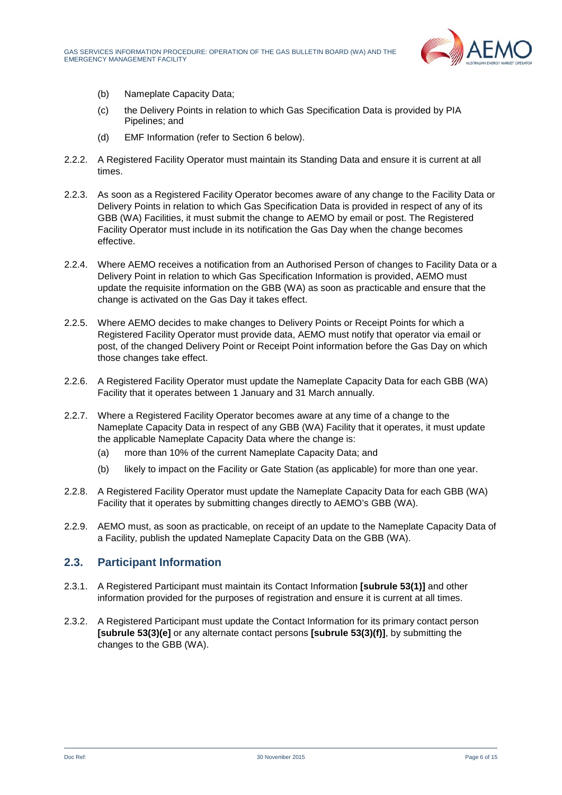

- (b) Nameplate Capacity Data;
- (c) the Delivery Points in relation to which Gas Specification Data is provided by PIA Pipelines; and
- (d) EMF Information (refer to Section 6 below).
- 2.2.2. A Registered Facility Operator must maintain its Standing Data and ensure it is current at all times.
- 2.2.3. As soon as a Registered Facility Operator becomes aware of any change to the Facility Data or Delivery Points in relation to which Gas Specification Data is provided in respect of any of its GBB (WA) Facilities, it must submit the change to AEMO by email or post. The Registered Facility Operator must include in its notification the Gas Day when the change becomes effective.
- 2.2.4. Where AEMO receives a notification from an Authorised Person of changes to Facility Data or a Delivery Point in relation to which Gas Specification Information is provided, AEMO must update the requisite information on the GBB (WA) as soon as practicable and ensure that the change is activated on the Gas Day it takes effect.
- 2.2.5. Where AEMO decides to make changes to Delivery Points or Receipt Points for which a Registered Facility Operator must provide data, AEMO must notify that operator via email or post, of the changed Delivery Point or Receipt Point information before the Gas Day on which those changes take effect.
- 2.2.6. A Registered Facility Operator must update the Nameplate Capacity Data for each GBB (WA) Facility that it operates between 1 January and 31 March annually.
- 2.2.7. Where a Registered Facility Operator becomes aware at any time of a change to the Nameplate Capacity Data in respect of any GBB (WA) Facility that it operates, it must update the applicable Nameplate Capacity Data where the change is:
	- (a) more than 10% of the current Nameplate Capacity Data; and
	- (b) likely to impact on the Facility or Gate Station (as applicable) for more than one year.
- 2.2.8. A Registered Facility Operator must update the Nameplate Capacity Data for each GBB (WA) Facility that it operates by submitting changes directly to AEMO's GBB (WA).
- 2.2.9. AEMO must, as soon as practicable, on receipt of an update to the Nameplate Capacity Data of a Facility, publish the updated Nameplate Capacity Data on the GBB (WA).

## **2.3. Participant Information**

- 2.3.1. A Registered Participant must maintain its Contact Information **[subrule 53(1)]** and other information provided for the purposes of registration and ensure it is current at all times.
- 2.3.2. A Registered Participant must update the Contact Information for its primary contact person **[subrule 53(3)(e]** or any alternate contact persons **[subrule 53(3)(f)]**, by submitting the changes to the GBB (WA).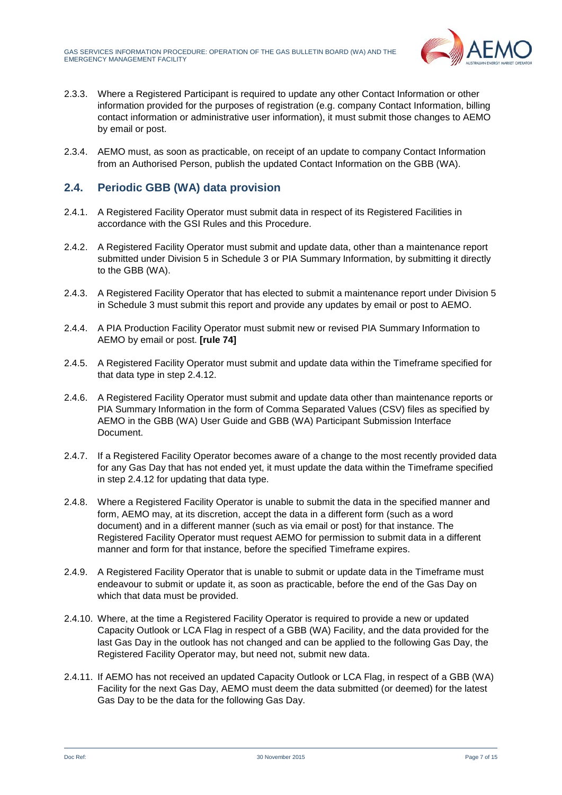

- 2.3.3. Where a Registered Participant is required to update any other Contact Information or other information provided for the purposes of registration (e.g. company Contact Information, billing contact information or administrative user information), it must submit those changes to AEMO by email or post.
- 2.3.4. AEMO must, as soon as practicable, on receipt of an update to company Contact Information from an Authorised Person, publish the updated Contact Information on the GBB (WA).

## <span id="page-6-0"></span>**2.4. Periodic GBB (WA) data provision**

- 2.4.1. A Registered Facility Operator must submit data in respect of its Registered Facilities in accordance with the GSI Rules and this Procedure.
- 2.4.2. A Registered Facility Operator must submit and update data, other than a maintenance report submitted under Division 5 in Schedule 3 or PIA Summary Information, by submitting it directly to the GBB (WA).
- 2.4.3. A Registered Facility Operator that has elected to submit a maintenance report under Division 5 in Schedule 3 must submit this report and provide any updates by email or post to AEMO.
- 2.4.4. A PIA Production Facility Operator must submit new or revised PIA Summary Information to AEMO by email or post. **[rule 74]**
- 2.4.5. A Registered Facility Operator must submit and update data within the Timeframe specified for that data type in step [2.4.12.](#page-7-0)
- 2.4.6. A Registered Facility Operator must submit and update data other than maintenance reports or PIA Summary Information in the form of Comma Separated Values (CSV) files as specified by AEMO in the GBB (WA) User Guide and GBB (WA) Participant Submission Interface Document.
- 2.4.7. If a Registered Facility Operator becomes aware of a change to the most recently provided data for any Gas Day that has not ended yet, it must update the data within the Timeframe specified in step [2.4.12](#page-7-0) for updating that data type.
- 2.4.8. Where a Registered Facility Operator is unable to submit the data in the specified manner and form, AEMO may, at its discretion, accept the data in a different form (such as a word document) and in a different manner (such as via email or post) for that instance. The Registered Facility Operator must request AEMO for permission to submit data in a different manner and form for that instance, before the specified Timeframe expires.
- 2.4.9. A Registered Facility Operator that is unable to submit or update data in the Timeframe must endeavour to submit or update it, as soon as practicable, before the end of the Gas Day on which that data must be provided.
- 2.4.10. Where, at the time a Registered Facility Operator is required to provide a new or updated Capacity Outlook or LCA Flag in respect of a GBB (WA) Facility, and the data provided for the last Gas Day in the outlook has not changed and can be applied to the following Gas Day, the Registered Facility Operator may, but need not, submit new data.
- 2.4.11. If AEMO has not received an updated Capacity Outlook or LCA Flag, in respect of a GBB (WA) Facility for the next Gas Day, AEMO must deem the data submitted (or deemed) for the latest Gas Day to be the data for the following Gas Day.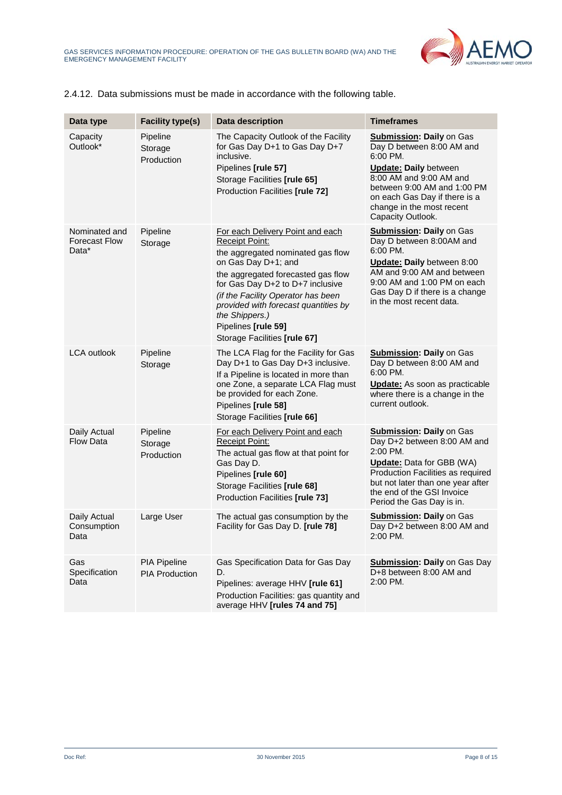

<span id="page-7-0"></span>

|  | 2.4.12. Data submissions must be made in accordance with the following table. |  |  |  |  |
|--|-------------------------------------------------------------------------------|--|--|--|--|
|--|-------------------------------------------------------------------------------|--|--|--|--|

| Data type                                      | <b>Facility type(s)</b>               | <b>Data description</b>                                                                                                                                                                                                                                                                                                                                | <b>Timeframes</b>                                                                                                                                                                                                                                     |
|------------------------------------------------|---------------------------------------|--------------------------------------------------------------------------------------------------------------------------------------------------------------------------------------------------------------------------------------------------------------------------------------------------------------------------------------------------------|-------------------------------------------------------------------------------------------------------------------------------------------------------------------------------------------------------------------------------------------------------|
| Capacity<br>Outlook*                           | Pipeline<br>Storage<br>Production     | The Capacity Outlook of the Facility<br>for Gas Day D+1 to Gas Day D+7<br>inclusive.<br>Pipelines [rule 57]<br>Storage Facilities [rule 65]<br>Production Facilities [rule 72]                                                                                                                                                                         | <b>Submission: Daily on Gas</b><br>Day D between 8:00 AM and<br>6:00 PM.<br><b>Update: Daily between</b><br>8:00 AM and 9:00 AM and<br>between 9:00 AM and 1:00 PM<br>on each Gas Day if there is a<br>change in the most recent<br>Capacity Outlook. |
| Nominated and<br><b>Forecast Flow</b><br>Data* | Pipeline<br>Storage                   | For each Delivery Point and each<br><b>Receipt Point:</b><br>the aggregated nominated gas flow<br>on Gas Day D+1; and<br>the aggregated forecasted gas flow<br>for Gas Day D+2 to D+7 inclusive<br>(if the Facility Operator has been<br>provided with forecast quantities by<br>the Shippers.)<br>Pipelines [rule 59]<br>Storage Facilities [rule 67] | <b>Submission: Daily on Gas</b><br>Day D between 8:00AM and<br>6:00 PM.<br>Update: Daily between 8:00<br>AM and 9:00 AM and between<br>9:00 AM and 1:00 PM on each<br>Gas Day D if there is a change<br>in the most recent data.                      |
| <b>LCA outlook</b>                             | Pipeline<br>Storage                   | The LCA Flag for the Facility for Gas<br>Day D+1 to Gas Day D+3 inclusive.<br>If a Pipeline is located in more than<br>one Zone, a separate LCA Flag must<br>be provided for each Zone.<br>Pipelines [rule 58]<br>Storage Facilities [rule 66]                                                                                                         | <b>Submission: Daily on Gas</b><br>Day D between 8:00 AM and<br>6:00 PM.<br><b>Update:</b> As soon as practicable<br>where there is a change in the<br>current outlook.                                                                               |
| Daily Actual<br><b>Flow Data</b>               | Pipeline<br>Storage<br>Production     | For each Delivery Point and each<br><b>Receipt Point:</b><br>The actual gas flow at that point for<br>Gas Day D.<br>Pipelines [rule 60]<br>Storage Facilities [rule 68]<br>Production Facilities [rule 73]                                                                                                                                             | <b>Submission: Daily on Gas</b><br>Day D+2 between 8:00 AM and<br>2:00 PM.<br><b>Update:</b> Data for GBB (WA)<br>Production Facilities as required<br>but not later than one year after<br>the end of the GSI Invoice<br>Period the Gas Day is in.   |
| Daily Actual<br>Consumption<br>υаτа            | Large User                            | The actual gas consumption by the<br>Facility for Gas Day D. [rule 78]                                                                                                                                                                                                                                                                                 | <b>Submission: Daily on Gas</b><br>Day D+2 between 8:00 AM and<br>2:00 PM.                                                                                                                                                                            |
| Gas<br>Specification<br>Data                   | PIA Pipeline<br><b>PIA Production</b> | Gas Specification Data for Gas Day<br>D.<br>Pipelines: average HHV [rule 61]<br>Production Facilities: gas quantity and<br>average HHV [rules 74 and 75]                                                                                                                                                                                               | <b>Submission: Daily on Gas Day</b><br>D+8 between 8:00 AM and<br>2:00 PM.                                                                                                                                                                            |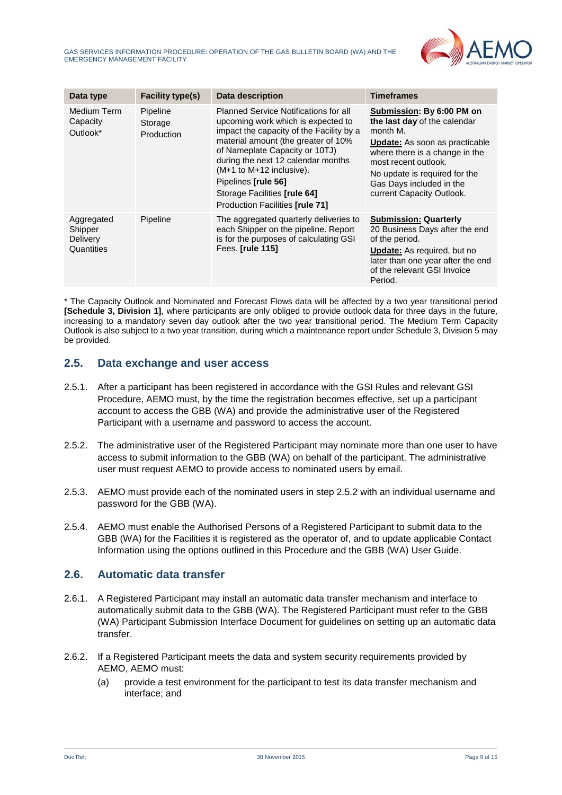

| Data type                                              | <b>Facility type(s)</b>           | Data description                                                                                                                                                                                                                                                                                                                                                    | <b>Timeframes</b>                                                                                                                                                                                                                                                  |
|--------------------------------------------------------|-----------------------------------|---------------------------------------------------------------------------------------------------------------------------------------------------------------------------------------------------------------------------------------------------------------------------------------------------------------------------------------------------------------------|--------------------------------------------------------------------------------------------------------------------------------------------------------------------------------------------------------------------------------------------------------------------|
| Medium Term<br>Capacity<br>Outlook*                    | Pipeline<br>Storage<br>Production | <b>Planned Service Notifications for all</b><br>upcoming work which is expected to<br>impact the capacity of the Facility by a<br>material amount (the greater of 10%<br>of Nameplate Capacity or 10TJ)<br>during the next 12 calendar months<br>(M+1 to M+12 inclusive).<br>Pipelines [rule 56]<br>Storage Facilities [rule 64]<br>Production Facilities [rule 71] | Submission: By 6:00 PM on<br>the last day of the calendar<br>month M.<br><b>Update:</b> As soon as practicable<br>where there is a change in the<br>most recent outlook.<br>No update is required for the<br>Gas Days included in the<br>current Capacity Outlook. |
| Aggregated<br>Shipper<br><b>Delivery</b><br>Quantities | Pipeline                          | The aggregated quarterly deliveries to<br>each Shipper on the pipeline. Report<br>is for the purposes of calculating GSI<br>Fees. [rule 115]                                                                                                                                                                                                                        | <b>Submission: Quarterly</b><br>20 Business Days after the end<br>of the period.<br><b>Update:</b> As required, but no<br>later than one year after the end<br>of the relevant GSI Invoice<br>Period.                                                              |

\* The Capacity Outlook and Nominated and Forecast Flows data will be affected by a two year transitional period **[Schedule 3, Division 1]**, where participants are only obliged to provide outlook data for three days in the future, increasing to a mandatory seven day outlook after the two year transitional period. The Medium Term Capacity Outlook is also subject to a two year transition, during which a maintenance report under Schedule 3, Division 5 may be provided.

## **2.5. Data exchange and user access**

- 2.5.1. After a participant has been registered in accordance with the GSI Rules and relevant GSI Procedure, AEMO must, by the time the registration becomes effective, set up a participant account to access the GBB (WA) and provide the administrative user of the Registered Participant with a username and password to access the account.
- <span id="page-8-0"></span>2.5.2. The administrative user of the Registered Participant may nominate more than one user to have access to submit information to the GBB (WA) on behalf of the participant. The administrative user must request AEMO to provide access to nominated users by email.
- 2.5.3. AEMO must provide each of the nominated users in step [2.5.2](#page-8-0) with an individual username and password for the GBB (WA).
- 2.5.4. AEMO must enable the Authorised Persons of a Registered Participant to submit data to the GBB (WA) for the Facilities it is registered as the operator of, and to update applicable Contact Information using the options outlined in this Procedure and the GBB (WA) User Guide.

## **2.6. Automatic data transfer**

- 2.6.1. A Registered Participant may install an automatic data transfer mechanism and interface to automatically submit data to the GBB (WA). The Registered Participant must refer to the GBB (WA) Participant Submission Interface Document for guidelines on setting up an automatic data transfer.
- 2.6.2. If a Registered Participant meets the data and system security requirements provided by AEMO, AEMO must:
	- (a) provide a test environment for the participant to test its data transfer mechanism and interface; and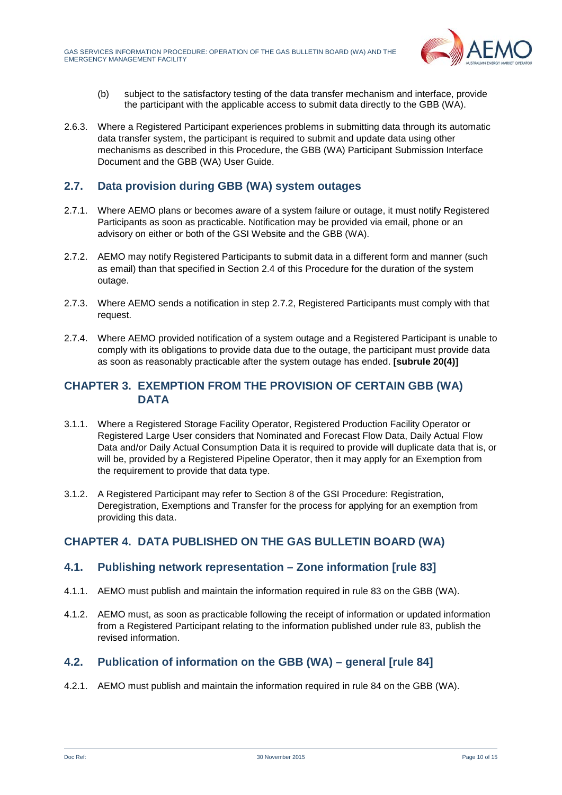

- (b) subject to the satisfactory testing of the data transfer mechanism and interface, provide the participant with the applicable access to submit data directly to the GBB (WA).
- 2.6.3. Where a Registered Participant experiences problems in submitting data through its automatic data transfer system, the participant is required to submit and update data using other mechanisms as described in this Procedure, the GBB (WA) Participant Submission Interface Document and the GBB (WA) User Guide.

## **2.7. Data provision during GBB (WA) system outages**

- 2.7.1. Where AEMO plans or becomes aware of a system failure or outage, it must notify Registered Participants as soon as practicable. Notification may be provided via email, phone or an advisory on either or both of the GSI Website and the GBB (WA).
- <span id="page-9-2"></span>2.7.2. AEMO may notify Registered Participants to submit data in a different form and manner (such as email) than that specified in Section [2.4](#page-6-0) of this Procedure for the duration of the system outage.
- 2.7.3. Where AEMO sends a notification in step [2.7.2,](#page-9-2) Registered Participants must comply with that request.
- 2.7.4. Where AEMO provided notification of a system outage and a Registered Participant is unable to comply with its obligations to provide data due to the outage, the participant must provide data as soon as reasonably practicable after the system outage has ended. **[subrule 20(4)]**

## <span id="page-9-0"></span>**CHAPTER 3. EXEMPTION FROM THE PROVISION OF CERTAIN GBB (WA) DATA**

- 3.1.1. Where a Registered Storage Facility Operator, Registered Production Facility Operator or Registered Large User considers that Nominated and Forecast Flow Data, Daily Actual Flow Data and/or Daily Actual Consumption Data it is required to provide will duplicate data that is, or will be, provided by a Registered Pipeline Operator, then it may apply for an Exemption from the requirement to provide that data type.
- 3.1.2. A Registered Participant may refer to Section 8 of the GSI Procedure: Registration, Deregistration, Exemptions and Transfer for the process for applying for an exemption from providing this data.

## <span id="page-9-1"></span>**CHAPTER 4. DATA PUBLISHED ON THE GAS BULLETIN BOARD (WA)**

## **4.1. Publishing network representation – Zone information [rule 83]**

- 4.1.1. AEMO must publish and maintain the information required in rule 83 on the GBB (WA).
- 4.1.2. AEMO must, as soon as practicable following the receipt of information or updated information from a Registered Participant relating to the information published under rule 83, publish the revised information.

## **4.2. Publication of information on the GBB (WA) – general [rule 84]**

4.2.1. AEMO must publish and maintain the information required in rule 84 on the GBB (WA).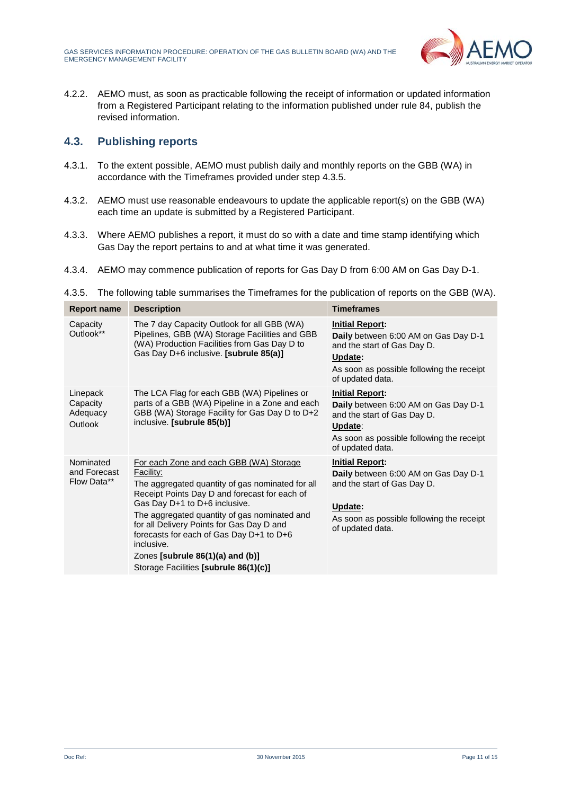

4.2.2. AEMO must, as soon as practicable following the receipt of information or updated information from a Registered Participant relating to the information published under rule 84, publish the revised information.

## **4.3. Publishing reports**

- 4.3.1. To the extent possible, AEMO must publish daily and monthly reports on the GBB (WA) in accordance with the Timeframes provided under step [4.3.5.](#page-10-0)
- 4.3.2. AEMO must use reasonable endeavours to update the applicable report(s) on the GBB (WA) each time an update is submitted by a Registered Participant.
- 4.3.3. Where AEMO publishes a report, it must do so with a date and time stamp identifying which Gas Day the report pertains to and at what time it was generated.
- 4.3.4. AEMO may commence publication of reports for Gas Day D from 6:00 AM on Gas Day D-1.
- <span id="page-10-0"></span>4.3.5. The following table summarises the Timeframes for the publication of reports on the GBB (WA).

| <b>Report name</b>                          | <b>Description</b>                                                                                                                                                                                                                                                                                                                                                                                                                  | <b>Timeframes</b>                                                                                                                                                         |
|---------------------------------------------|-------------------------------------------------------------------------------------------------------------------------------------------------------------------------------------------------------------------------------------------------------------------------------------------------------------------------------------------------------------------------------------------------------------------------------------|---------------------------------------------------------------------------------------------------------------------------------------------------------------------------|
| Capacity<br>Outlook**                       | The 7 day Capacity Outlook for all GBB (WA)<br>Pipelines, GBB (WA) Storage Facilities and GBB<br>(WA) Production Facilities from Gas Day D to<br>Gas Day D+6 inclusive. [subrule 85(a)]                                                                                                                                                                                                                                             | <b>Initial Report:</b><br>Daily between 6:00 AM on Gas Day D-1<br>and the start of Gas Day D.<br>Update:<br>As soon as possible following the receipt<br>of updated data. |
| Linepack<br>Capacity<br>Adequacy<br>Outlook | The LCA Flag for each GBB (WA) Pipelines or<br>parts of a GBB (WA) Pipeline in a Zone and each<br>GBB (WA) Storage Facility for Gas Day D to D+2<br>inclusive. [subrule 85(b)]                                                                                                                                                                                                                                                      | <b>Initial Report:</b><br>Daily between 6:00 AM on Gas Day D-1<br>and the start of Gas Day D.<br>Update:<br>As soon as possible following the receipt<br>of updated data. |
| Nominated<br>and Forecast<br>Flow Data**    | For each Zone and each GBB (WA) Storage<br>Facility:<br>The aggregated quantity of gas nominated for all<br>Receipt Points Day D and forecast for each of<br>Gas Day D+1 to D+6 inclusive.<br>The aggregated quantity of gas nominated and<br>for all Delivery Points for Gas Day D and<br>forecasts for each of Gas Day D+1 to D+6<br>inclusive.<br>Zones [subrule $86(1)(a)$ and $(b)$ ]<br>Storage Facilities [subrule 86(1)(c)] | <b>Initial Report:</b><br>Daily between 6:00 AM on Gas Day D-1<br>and the start of Gas Day D.<br>Update:<br>As soon as possible following the receipt<br>of updated data. |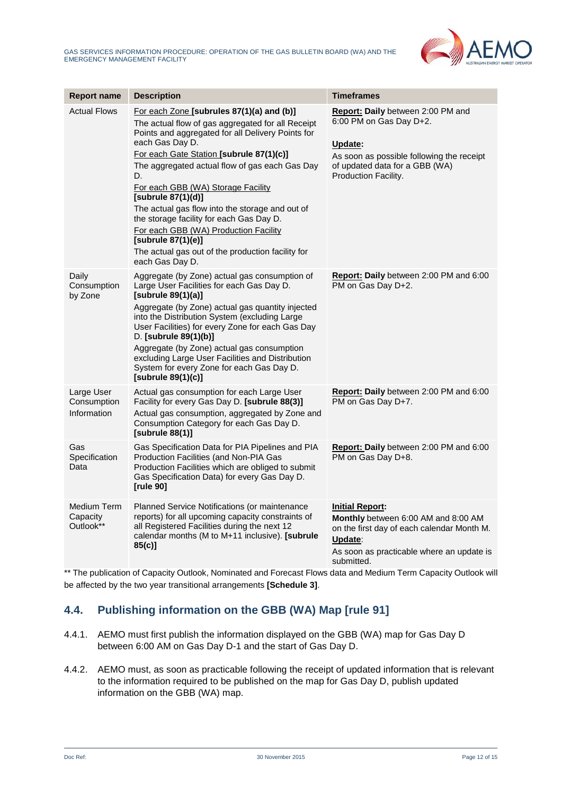

| <b>Report name</b>                       | <b>Description</b>                                                                                                                                                                                                                                                                                                                                                                                                                                                                                                                                                           | <b>Timeframes</b>                                                                                                                                                                 |
|------------------------------------------|------------------------------------------------------------------------------------------------------------------------------------------------------------------------------------------------------------------------------------------------------------------------------------------------------------------------------------------------------------------------------------------------------------------------------------------------------------------------------------------------------------------------------------------------------------------------------|-----------------------------------------------------------------------------------------------------------------------------------------------------------------------------------|
| <b>Actual Flows</b>                      | For each Zone [subrules 87(1)(a) and (b)]<br>The actual flow of gas aggregated for all Receipt<br>Points and aggregated for all Delivery Points for<br>each Gas Day D.<br>For each Gate Station [subrule 87(1)(c)]<br>The aggregated actual flow of gas each Gas Day<br>D.<br>For each GBB (WA) Storage Facility<br>[subrule 87(1)(d)]<br>The actual gas flow into the storage and out of<br>the storage facility for each Gas Day D.<br>For each GBB (WA) Production Facility<br>[subrule 87(1)(e)]<br>The actual gas out of the production facility for<br>each Gas Day D. | Report: Daily between 2:00 PM and<br>6:00 PM on Gas Day D+2.<br>Update:<br>As soon as possible following the receipt<br>of updated data for a GBB (WA)<br>Production Facility.    |
| Daily<br>Consumption<br>by Zone          | Aggregate (by Zone) actual gas consumption of<br>Large User Facilities for each Gas Day D.<br>[subrule 89(1)(a)]<br>Aggregate (by Zone) actual gas quantity injected<br>into the Distribution System (excluding Large<br>User Facilities) for every Zone for each Gas Day<br>D. [subrule 89(1)(b)]<br>Aggregate (by Zone) actual gas consumption<br>excluding Large User Facilities and Distribution<br>System for every Zone for each Gas Day D.<br>[subrule 89(1)(c)]                                                                                                      | Report: Daily between 2:00 PM and 6:00<br>PM on Gas Day D+2.                                                                                                                      |
| Large User<br>Consumption<br>Information | Actual gas consumption for each Large User<br>Facility for every Gas Day D. [subrule 88(3)]<br>Actual gas consumption, aggregated by Zone and<br>Consumption Category for each Gas Day D.<br>[subrule 88(1)]                                                                                                                                                                                                                                                                                                                                                                 | Report: Daily between 2:00 PM and 6:00<br>PM on Gas Day D+7.                                                                                                                      |
| Gas<br>Specification<br>Data             | Gas Specification Data for PIA Pipelines and PIA<br>Production Facilities (and Non-PIA Gas<br>Production Facilities which are obliged to submit<br>Gas Specification Data) for every Gas Day D.<br>[rule 90]                                                                                                                                                                                                                                                                                                                                                                 | Report: Daily between 2:00 PM and 6:00<br>PM on Gas Day D+8.                                                                                                                      |
| Medium Term<br>Capacity<br>Outlook**     | Planned Service Notifications (or maintenance<br>reports) for all upcoming capacity constraints of<br>all Registered Facilities during the next 12<br>calendar months (M to M+11 inclusive). [subrule<br>$85(c)$ ]                                                                                                                                                                                                                                                                                                                                                           | <b>Initial Report:</b><br>Monthly between 6:00 AM and 8:00 AM<br>on the first day of each calendar Month M.<br>Update:<br>As soon as practicable where an update is<br>submitted. |

\*\* The publication of Capacity Outlook, Nominated and Forecast Flows data and Medium Term Capacity Outlook will be affected by the two year transitional arrangements **[Schedule 3]**.

## **4.4. Publishing information on the GBB (WA) Map [rule 91]**

- 4.4.1. AEMO must first publish the information displayed on the GBB (WA) map for Gas Day D between 6:00 AM on Gas Day D-1 and the start of Gas Day D.
- 4.4.2. AEMO must, as soon as practicable following the receipt of updated information that is relevant to the information required to be published on the map for Gas Day D, publish updated information on the GBB (WA) map.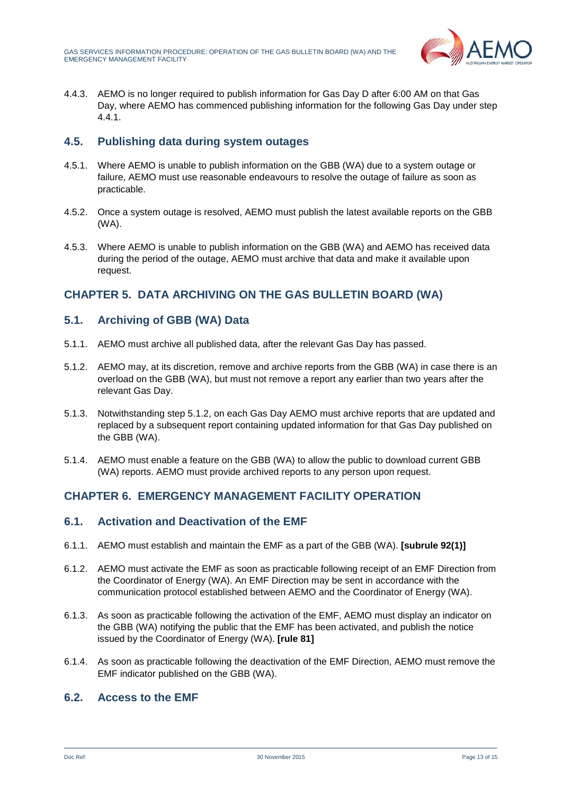

4.4.3. AEMO is no longer required to publish information for Gas Day D after 6:00 AM on that Gas Day, where AEMO has commenced publishing information for the following Gas Day under step 4.4.1.

## **4.5. Publishing data during system outages**

- 4.5.1. Where AEMO is unable to publish information on the GBB (WA) due to a system outage or failure, AEMO must use reasonable endeavours to resolve the outage of failure as soon as practicable.
- 4.5.2. Once a system outage is resolved, AEMO must publish the latest available reports on the GBB (WA).
- 4.5.3. Where AEMO is unable to publish information on the GBB (WA) and AEMO has received data during the period of the outage, AEMO must archive that data and make it available upon request.

## <span id="page-12-0"></span>**CHAPTER 5. DATA ARCHIVING ON THE GAS BULLETIN BOARD (WA)**

## **5.1. Archiving of GBB (WA) Data**

- 5.1.1. AEMO must archive all published data, after the relevant Gas Day has passed.
- <span id="page-12-2"></span>5.1.2. AEMO may, at its discretion, remove and archive reports from the GBB (WA) in case there is an overload on the GBB (WA), but must not remove a report any earlier than two years after the relevant Gas Day.
- 5.1.3. Notwithstanding step [5.1.2,](#page-12-2) on each Gas Day AEMO must archive reports that are updated and replaced by a subsequent report containing updated information for that Gas Day published on the GBB (WA).
- 5.1.4. AEMO must enable a feature on the GBB (WA) to allow the public to download current GBB (WA) reports. AEMO must provide archived reports to any person upon request.

## <span id="page-12-1"></span>**CHAPTER 6. EMERGENCY MANAGEMENT FACILITY OPERATION**

## **6.1. Activation and Deactivation of the EMF**

- 6.1.1. AEMO must establish and maintain the EMF as a part of the GBB (WA). **[subrule 92(1)]**
- 6.1.2. AEMO must activate the EMF as soon as practicable following receipt of an EMF Direction from the Coordinator of Energy (WA). An EMF Direction may be sent in accordance with the communication protocol established between AEMO and the Coordinator of Energy (WA).
- 6.1.3. As soon as practicable following the activation of the EMF, AEMO must display an indicator on the GBB (WA) notifying the public that the EMF has been activated, and publish the notice issued by the Coordinator of Energy (WA). **[rule 81]**
- 6.1.4. As soon as practicable following the deactivation of the EMF Direction, AEMO must remove the EMF indicator published on the GBB (WA).

## **6.2. Access to the EMF**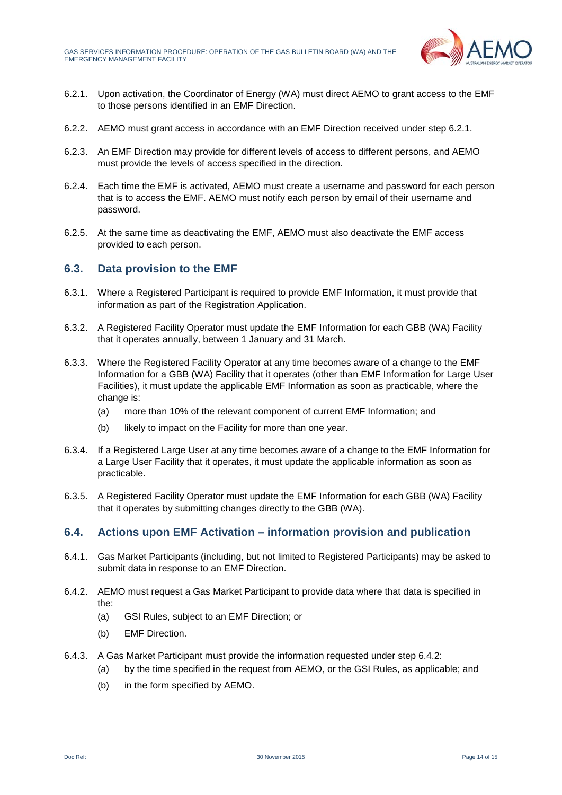

- <span id="page-13-0"></span>6.2.1. Upon activation, the Coordinator of Energy (WA) must direct AEMO to grant access to the EMF to those persons identified in an EMF Direction.
- 6.2.2. AEMO must grant access in accordance with an EMF Direction received under step [6.2.1.](#page-13-0)
- 6.2.3. An EMF Direction may provide for different levels of access to different persons, and AEMO must provide the levels of access specified in the direction.
- 6.2.4. Each time the EMF is activated, AEMO must create a username and password for each person that is to access the EMF. AEMO must notify each person by email of their username and password.
- 6.2.5. At the same time as deactivating the EMF, AEMO must also deactivate the EMF access provided to each person.

## **6.3. Data provision to the EMF**

- 6.3.1. Where a Registered Participant is required to provide EMF Information, it must provide that information as part of the Registration Application.
- 6.3.2. A Registered Facility Operator must update the EMF Information for each GBB (WA) Facility that it operates annually, between 1 January and 31 March.
- 6.3.3. Where the Registered Facility Operator at any time becomes aware of a change to the EMF Information for a GBB (WA) Facility that it operates (other than EMF Information for Large User Facilities), it must update the applicable EMF Information as soon as practicable, where the change is:
	- (a) more than 10% of the relevant component of current EMF Information; and
	- (b) likely to impact on the Facility for more than one year.
- 6.3.4. If a Registered Large User at any time becomes aware of a change to the EMF Information for a Large User Facility that it operates, it must update the applicable information as soon as practicable.
- 6.3.5. A Registered Facility Operator must update the EMF Information for each GBB (WA) Facility that it operates by submitting changes directly to the GBB (WA).

## **6.4. Actions upon EMF Activation – information provision and publication**

- 6.4.1. Gas Market Participants (including, but not limited to Registered Participants) may be asked to submit data in response to an EMF Direction.
- <span id="page-13-1"></span>6.4.2. AEMO must request a Gas Market Participant to provide data where that data is specified in the:
	- (a) GSI Rules, subject to an EMF Direction; or
	- (b) EMF Direction.
- <span id="page-13-2"></span>6.4.3. A Gas Market Participant must provide the information requested under step [6.4.2:](#page-13-1)
	- (a) by the time specified in the request from AEMO, or the GSI Rules, as applicable; and
	- (b) in the form specified by AEMO.